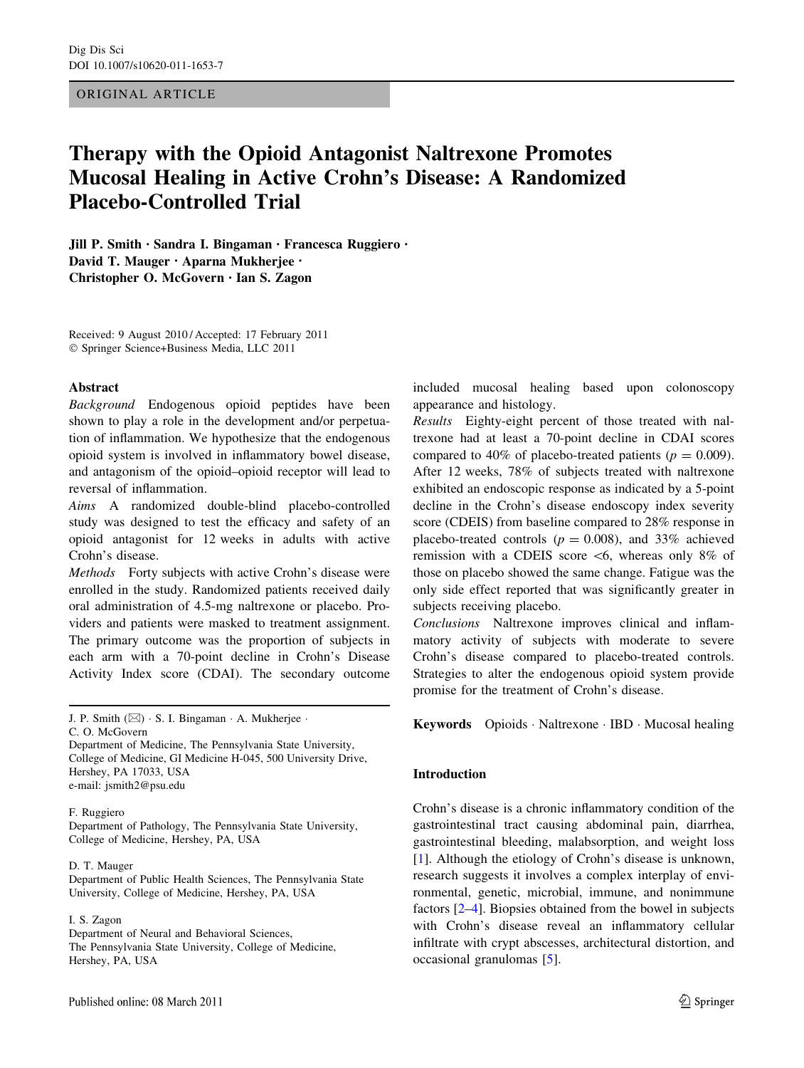# ORIGINAL ARTICLE

# Therapy with the Opioid Antagonist Naltrexone Promotes Mucosal Healing in Active Crohn's Disease: A Randomized Placebo-Controlled Trial

Jill P. Smith • Sandra I. Bingaman • Francesca Ruggiero • David T. Mauger • Aparna Mukherjee • Christopher O. McGovern • Ian S. Zagon

Received: 9 August 2010 / Accepted: 17 February 2011 - Springer Science+Business Media, LLC 2011

### Abstract

Background Endogenous opioid peptides have been shown to play a role in the development and/or perpetuation of inflammation. We hypothesize that the endogenous opioid system is involved in inflammatory bowel disease, and antagonism of the opioid–opioid receptor will lead to reversal of inflammation.

Aims A randomized double-blind placebo-controlled study was designed to test the efficacy and safety of an opioid antagonist for 12 weeks in adults with active Crohn's disease.

Methods Forty subjects with active Crohn's disease were enrolled in the study. Randomized patients received daily oral administration of 4.5-mg naltrexone or placebo. Providers and patients were masked to treatment assignment. The primary outcome was the proportion of subjects in each arm with a 70-point decline in Crohn's Disease Activity Index score (CDAI). The secondary outcome

J. P. Smith (&) - S. I. Bingaman - A. Mukherjee -

C. O. McGovern

Department of Medicine, The Pennsylvania State University, College of Medicine, GI Medicine H-045, 500 University Drive, Hershey, PA 17033, USA e-mail: jsmith2@psu.edu

### F. Ruggiero

Department of Pathology, The Pennsylvania State University, College of Medicine, Hershey, PA, USA

#### D. T. Mauger

Department of Public Health Sciences, The Pennsylvania State University, College of Medicine, Hershey, PA, USA

# I. S. Zagon

Department of Neural and Behavioral Sciences, The Pennsylvania State University, College of Medicine, Hershey, PA, USA

included mucosal healing based upon colonoscopy appearance and histology.

Results Eighty-eight percent of those treated with naltrexone had at least a 70-point decline in CDAI scores compared to 40% of placebo-treated patients ( $p = 0.009$ ). After 12 weeks, 78% of subjects treated with naltrexone exhibited an endoscopic response as indicated by a 5-point decline in the Crohn's disease endoscopy index severity score (CDEIS) from baseline compared to 28% response in placebo-treated controls ( $p = 0.008$ ), and 33% achieved remission with a CDEIS score  $\leq 6$ , whereas only 8% of those on placebo showed the same change. Fatigue was the only side effect reported that was significantly greater in subjects receiving placebo.

Conclusions Naltrexone improves clinical and inflammatory activity of subjects with moderate to severe Crohn's disease compared to placebo-treated controls. Strategies to alter the endogenous opioid system provide promise for the treatment of Crohn's disease.

Keywords Opioids - Naltrexone - IBD - Mucosal healing

# Introduction

Crohn's disease is a chronic inflammatory condition of the gastrointestinal tract causing abdominal pain, diarrhea, gastrointestinal bleeding, malabsorption, and weight loss [\[1](#page-9-0)]. Although the etiology of Crohn's disease is unknown, research suggests it involves a complex interplay of environmental, genetic, microbial, immune, and nonimmune factors [\[2–4](#page-9-0)]. Biopsies obtained from the bowel in subjects with Crohn's disease reveal an inflammatory cellular infiltrate with crypt abscesses, architectural distortion, and occasional granulomas [\[5](#page-9-0)].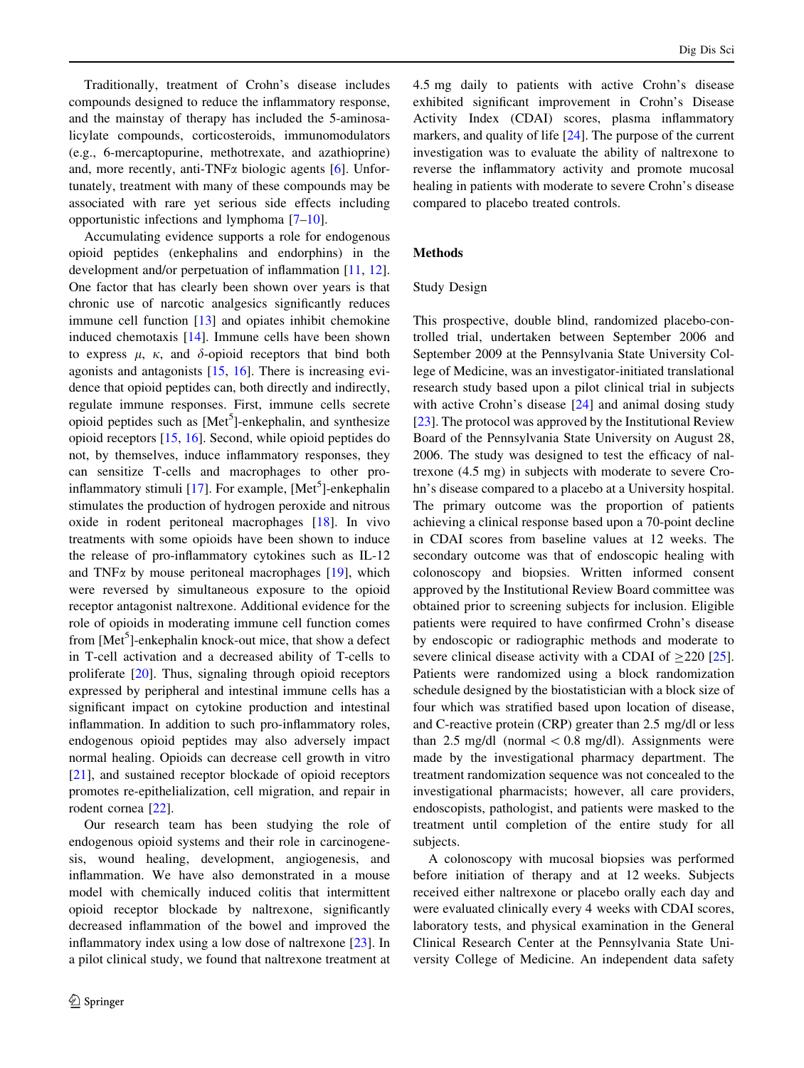Traditionally, treatment of Crohn's disease includes compounds designed to reduce the inflammatory response, and the mainstay of therapy has included the 5-aminosalicylate compounds, corticosteroids, immunomodulators (e.g., 6-mercaptopurine, methotrexate, and azathioprine) and, more recently, anti-TNF $\alpha$  biologic agents [[6\]](#page-9-0). Unfortunately, treatment with many of these compounds may be associated with rare yet serious side effects including opportunistic infections and lymphoma [\[7–10](#page-9-0)].

Accumulating evidence supports a role for endogenous opioid peptides (enkephalins and endorphins) in the development and/or perpetuation of inflammation [[11,](#page-9-0) [12](#page-9-0)]. One factor that has clearly been shown over years is that chronic use of narcotic analgesics significantly reduces immune cell function [[13\]](#page-9-0) and opiates inhibit chemokine induced chemotaxis [\[14](#page-9-0)]. Immune cells have been shown to express  $\mu$ ,  $\kappa$ , and  $\delta$ -opioid receptors that bind both agonists and antagonists [[15,](#page-9-0) [16\]](#page-9-0). There is increasing evidence that opioid peptides can, both directly and indirectly, regulate immune responses. First, immune cells secrete opioid peptides such as [Met<sup>5</sup>]-enkephalin, and synthesize opioid receptors [[15,](#page-9-0) [16](#page-9-0)]. Second, while opioid peptides do not, by themselves, induce inflammatory responses, they can sensitize T-cells and macrophages to other pro-inflammatory stimuli [\[17](#page-9-0)]. For example, [Met<sup>5</sup>]-enkephalin stimulates the production of hydrogen peroxide and nitrous oxide in rodent peritoneal macrophages [[18\]](#page-9-0). In vivo treatments with some opioids have been shown to induce the release of pro-inflammatory cytokines such as IL-12 and TNF $\alpha$  by mouse peritoneal macrophages [[19](#page-9-0)], which were reversed by simultaneous exposure to the opioid receptor antagonist naltrexone. Additional evidence for the role of opioids in moderating immune cell function comes from [Met<sup>5</sup>]-enkephalin knock-out mice, that show a defect in T-cell activation and a decreased ability of T-cells to proliferate [\[20](#page-9-0)]. Thus, signaling through opioid receptors expressed by peripheral and intestinal immune cells has a significant impact on cytokine production and intestinal inflammation. In addition to such pro-inflammatory roles, endogenous opioid peptides may also adversely impact normal healing. Opioids can decrease cell growth in vitro [\[21](#page-9-0)], and sustained receptor blockade of opioid receptors promotes re-epithelialization, cell migration, and repair in rodent cornea [\[22](#page-9-0)].

Our research team has been studying the role of endogenous opioid systems and their role in carcinogenesis, wound healing, development, angiogenesis, and inflammation. We have also demonstrated in a mouse model with chemically induced colitis that intermittent opioid receptor blockade by naltrexone, significantly decreased inflammation of the bowel and improved the inflammatory index using a low dose of naltrexone [\[23](#page-9-0)]. In a pilot clinical study, we found that naltrexone treatment at 4.5 mg daily to patients with active Crohn's disease exhibited significant improvement in Crohn's Disease Activity Index (CDAI) scores, plasma inflammatory markers, and quality of life [\[24](#page-9-0)]. The purpose of the current investigation was to evaluate the ability of naltrexone to reverse the inflammatory activity and promote mucosal healing in patients with moderate to severe Crohn's disease compared to placebo treated controls.

# **Methods**

## Study Design

This prospective, double blind, randomized placebo-controlled trial, undertaken between September 2006 and September 2009 at the Pennsylvania State University College of Medicine, was an investigator-initiated translational research study based upon a pilot clinical trial in subjects with active Crohn's disease [[24\]](#page-9-0) and animal dosing study [\[23](#page-9-0)]. The protocol was approved by the Institutional Review Board of the Pennsylvania State University on August 28, 2006. The study was designed to test the efficacy of naltrexone (4.5 mg) in subjects with moderate to severe Crohn's disease compared to a placebo at a University hospital. The primary outcome was the proportion of patients achieving a clinical response based upon a 70-point decline in CDAI scores from baseline values at 12 weeks. The secondary outcome was that of endoscopic healing with colonoscopy and biopsies. Written informed consent approved by the Institutional Review Board committee was obtained prior to screening subjects for inclusion. Eligible patients were required to have confirmed Crohn's disease by endoscopic or radiographic methods and moderate to severe clinical disease activity with a CDAI of  $>220$  [\[25](#page-9-0)]. Patients were randomized using a block randomization schedule designed by the biostatistician with a block size of four which was stratified based upon location of disease, and C-reactive protein (CRP) greater than 2.5 mg/dl or less than 2.5 mg/dl (normal  $< 0.8$  mg/dl). Assignments were made by the investigational pharmacy department. The treatment randomization sequence was not concealed to the investigational pharmacists; however, all care providers, endoscopists, pathologist, and patients were masked to the treatment until completion of the entire study for all subjects.

A colonoscopy with mucosal biopsies was performed before initiation of therapy and at 12 weeks. Subjects received either naltrexone or placebo orally each day and were evaluated clinically every 4 weeks with CDAI scores, laboratory tests, and physical examination in the General Clinical Research Center at the Pennsylvania State University College of Medicine. An independent data safety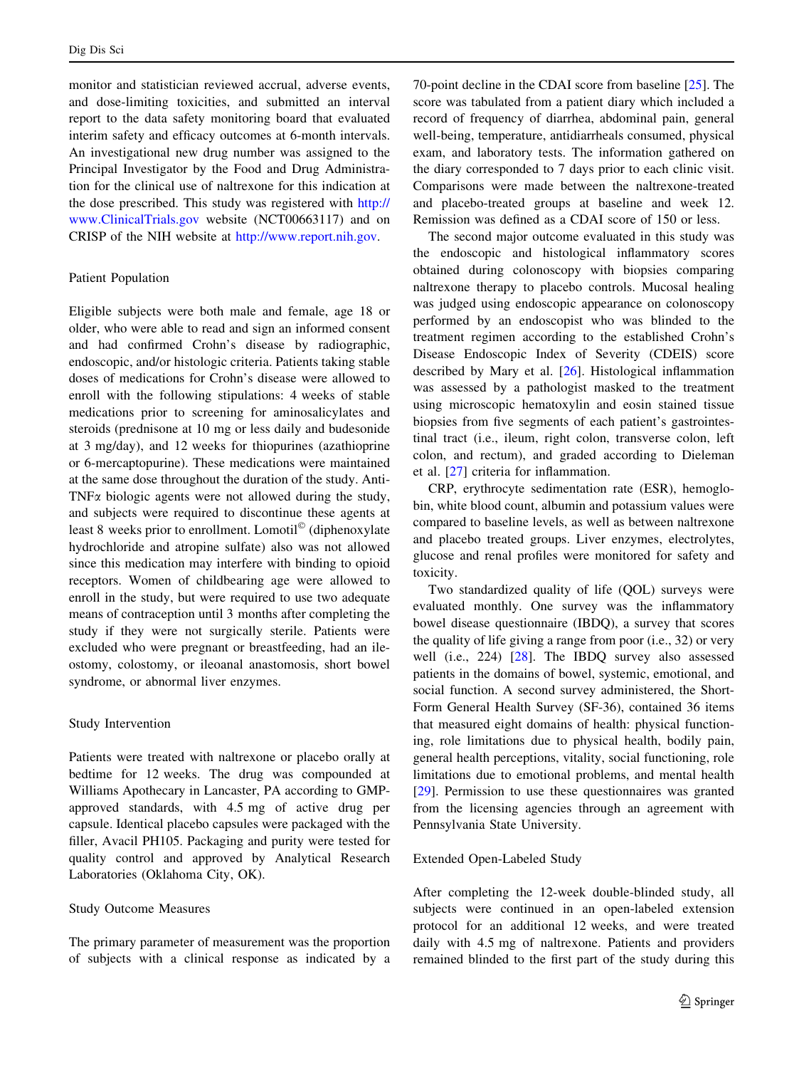monitor and statistician reviewed accrual, adverse events, and dose-limiting toxicities, and submitted an interval report to the data safety monitoring board that evaluated interim safety and efficacy outcomes at 6-month intervals. An investigational new drug number was assigned to the Principal Investigator by the Food and Drug Administration for the clinical use of naltrexone for this indication at the dose prescribed. This study was registered with [http://](http://www.ClinicalTrials.gov) [www.ClinicalTrials.gov](http://www.ClinicalTrials.gov) website (NCT00663117) and on CRISP of the NIH website at <http://www.report.nih.gov>.

# Patient Population

Eligible subjects were both male and female, age 18 or older, who were able to read and sign an informed consent and had confirmed Crohn's disease by radiographic, endoscopic, and/or histologic criteria. Patients taking stable doses of medications for Crohn's disease were allowed to enroll with the following stipulations: 4 weeks of stable medications prior to screening for aminosalicylates and steroids (prednisone at 10 mg or less daily and budesonide at 3 mg/day), and 12 weeks for thiopurines (azathioprine or 6-mercaptopurine). These medications were maintained at the same dose throughout the duration of the study. Anti-TNF $\alpha$  biologic agents were not allowed during the study, and subjects were required to discontinue these agents at least 8 weeks prior to enrollment. Lomotil<sup>©</sup> (diphenoxylate hydrochloride and atropine sulfate) also was not allowed since this medication may interfere with binding to opioid receptors. Women of childbearing age were allowed to enroll in the study, but were required to use two adequate means of contraception until 3 months after completing the study if they were not surgically sterile. Patients were excluded who were pregnant or breastfeeding, had an ileostomy, colostomy, or ileoanal anastomosis, short bowel syndrome, or abnormal liver enzymes.

# Study Intervention

Patients were treated with naltrexone or placebo orally at bedtime for 12 weeks. The drug was compounded at Williams Apothecary in Lancaster, PA according to GMPapproved standards, with 4.5 mg of active drug per capsule. Identical placebo capsules were packaged with the filler, Avacil PH105. Packaging and purity were tested for quality control and approved by Analytical Research Laboratories (Oklahoma City, OK).

# Study Outcome Measures

The primary parameter of measurement was the proportion of subjects with a clinical response as indicated by a

70-point decline in the CDAI score from baseline [\[25](#page-9-0)]. The score was tabulated from a patient diary which included a record of frequency of diarrhea, abdominal pain, general well-being, temperature, antidiarrheals consumed, physical exam, and laboratory tests. The information gathered on the diary corresponded to 7 days prior to each clinic visit. Comparisons were made between the naltrexone-treated and placebo-treated groups at baseline and week 12. Remission was defined as a CDAI score of 150 or less.

The second major outcome evaluated in this study was the endoscopic and histological inflammatory scores obtained during colonoscopy with biopsies comparing naltrexone therapy to placebo controls. Mucosal healing was judged using endoscopic appearance on colonoscopy performed by an endoscopist who was blinded to the treatment regimen according to the established Crohn's Disease Endoscopic Index of Severity (CDEIS) score described by Mary et al. [[26\]](#page-9-0). Histological inflammation was assessed by a pathologist masked to the treatment using microscopic hematoxylin and eosin stained tissue biopsies from five segments of each patient's gastrointestinal tract (i.e., ileum, right colon, transverse colon, left colon, and rectum), and graded according to Dieleman et al. [\[27](#page-9-0)] criteria for inflammation.

CRP, erythrocyte sedimentation rate (ESR), hemoglobin, white blood count, albumin and potassium values were compared to baseline levels, as well as between naltrexone and placebo treated groups. Liver enzymes, electrolytes, glucose and renal profiles were monitored for safety and toxicity.

Two standardized quality of life (QOL) surveys were evaluated monthly. One survey was the inflammatory bowel disease questionnaire (IBDQ), a survey that scores the quality of life giving a range from poor (i.e., 32) or very well (i.e., 224) [\[28](#page-9-0)]. The IBDQ survey also assessed patients in the domains of bowel, systemic, emotional, and social function. A second survey administered, the Short-Form General Health Survey (SF-36), contained 36 items that measured eight domains of health: physical functioning, role limitations due to physical health, bodily pain, general health perceptions, vitality, social functioning, role limitations due to emotional problems, and mental health [\[29](#page-9-0)]. Permission to use these questionnaires was granted from the licensing agencies through an agreement with Pennsylvania State University.

#### Extended Open-Labeled Study

After completing the 12-week double-blinded study, all subjects were continued in an open-labeled extension protocol for an additional 12 weeks, and were treated daily with 4.5 mg of naltrexone. Patients and providers remained blinded to the first part of the study during this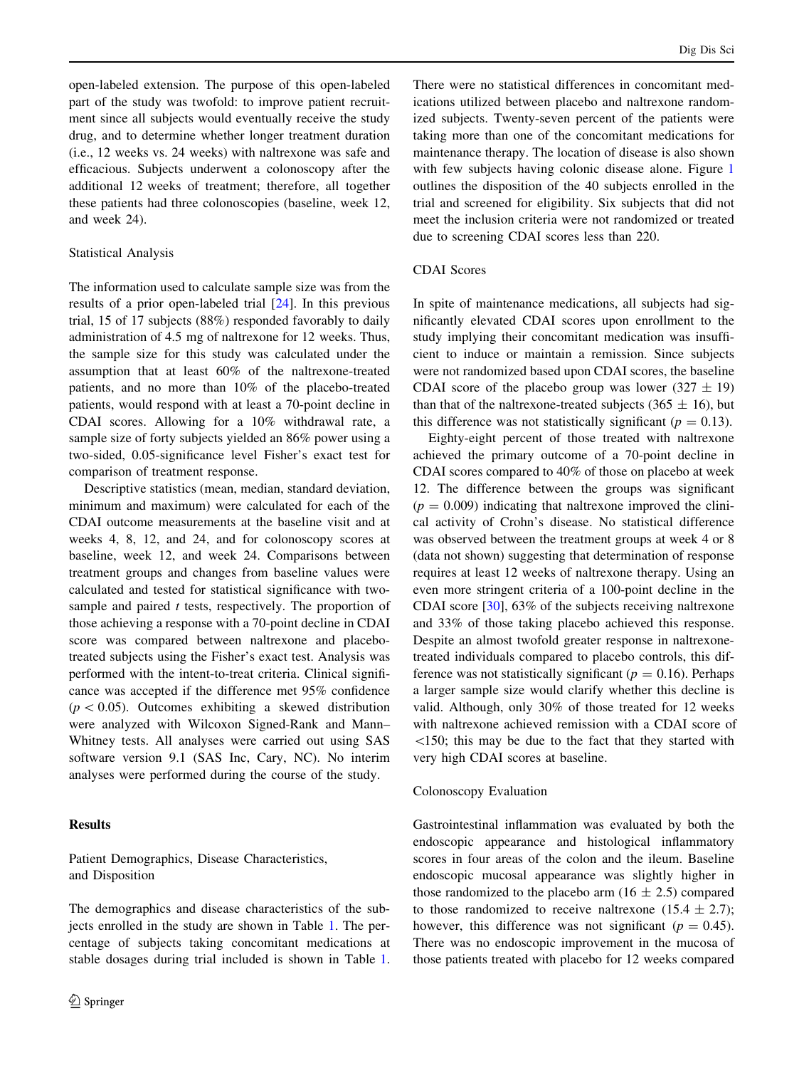open-labeled extension. The purpose of this open-labeled part of the study was twofold: to improve patient recruitment since all subjects would eventually receive the study drug, and to determine whether longer treatment duration (i.e., 12 weeks vs. 24 weeks) with naltrexone was safe and efficacious. Subjects underwent a colonoscopy after the additional 12 weeks of treatment; therefore, all together these patients had three colonoscopies (baseline, week 12, and week 24).

# Statistical Analysis

The information used to calculate sample size was from the results of a prior open-labeled trial [\[24](#page-9-0)]. In this previous trial, 15 of 17 subjects (88%) responded favorably to daily administration of 4.5 mg of naltrexone for 12 weeks. Thus, the sample size for this study was calculated under the assumption that at least 60% of the naltrexone-treated patients, and no more than 10% of the placebo-treated patients, would respond with at least a 70-point decline in CDAI scores. Allowing for a 10% withdrawal rate, a sample size of forty subjects yielded an 86% power using a two-sided, 0.05-significance level Fisher's exact test for comparison of treatment response.

Descriptive statistics (mean, median, standard deviation, minimum and maximum) were calculated for each of the CDAI outcome measurements at the baseline visit and at weeks 4, 8, 12, and 24, and for colonoscopy scores at baseline, week 12, and week 24. Comparisons between treatment groups and changes from baseline values were calculated and tested for statistical significance with twosample and paired  $t$  tests, respectively. The proportion of those achieving a response with a 70-point decline in CDAI score was compared between naltrexone and placebotreated subjects using the Fisher's exact test. Analysis was performed with the intent-to-treat criteria. Clinical significance was accepted if the difference met 95% confidence  $(p < 0.05)$ . Outcomes exhibiting a skewed distribution were analyzed with Wilcoxon Signed-Rank and Mann– Whitney tests. All analyses were carried out using SAS software version 9.1 (SAS Inc, Cary, NC). No interim analyses were performed during the course of the study.

# **Results**

# Patient Demographics, Disease Characteristics, and Disposition

The demographics and disease characteristics of the subjects enrolled in the study are shown in Table [1](#page-4-0). The percentage of subjects taking concomitant medications at stable dosages during trial included is shown in Table [1.](#page-4-0)

There were no statistical differences in concomitant medications utilized between placebo and naltrexone randomized subjects. Twenty-seven percent of the patients were taking more than one of the concomitant medications for maintenance therapy. The location of disease is also shown with few subjects having colonic disease alone. Figure [1](#page-4-0) outlines the disposition of the 40 subjects enrolled in the trial and screened for eligibility. Six subjects that did not meet the inclusion criteria were not randomized or treated due to screening CDAI scores less than 220.

# CDAI Scores

In spite of maintenance medications, all subjects had significantly elevated CDAI scores upon enrollment to the study implying their concomitant medication was insufficient to induce or maintain a remission. Since subjects were not randomized based upon CDAI scores, the baseline CDAI score of the placebo group was lower  $(327 \pm 19)$ than that of the naltrexone-treated subjects (365  $\pm$  16), but this difference was not statistically significant ( $p = 0.13$ ).

Eighty-eight percent of those treated with naltrexone achieved the primary outcome of a 70-point decline in CDAI scores compared to 40% of those on placebo at week 12. The difference between the groups was significant  $(p = 0.009)$  indicating that naltrexone improved the clinical activity of Crohn's disease. No statistical difference was observed between the treatment groups at week 4 or 8 (data not shown) suggesting that determination of response requires at least 12 weeks of naltrexone therapy. Using an even more stringent criteria of a 100-point decline in the CDAI score [[30\]](#page-9-0), 63% of the subjects receiving naltrexone and 33% of those taking placebo achieved this response. Despite an almost twofold greater response in naltrexonetreated individuals compared to placebo controls, this difference was not statistically significant ( $p = 0.16$ ). Perhaps a larger sample size would clarify whether this decline is valid. Although, only 30% of those treated for 12 weeks with naltrexone achieved remission with a CDAI score of  $\le$ 150; this may be due to the fact that they started with very high CDAI scores at baseline.

## Colonoscopy Evaluation

Gastrointestinal inflammation was evaluated by both the endoscopic appearance and histological inflammatory scores in four areas of the colon and the ileum. Baseline endoscopic mucosal appearance was slightly higher in those randomized to the placebo arm  $(16 \pm 2.5)$  compared to those randomized to receive naltrexone  $(15.4 \pm 2.7)$ ; however, this difference was not significant ( $p = 0.45$ ). There was no endoscopic improvement in the mucosa of those patients treated with placebo for 12 weeks compared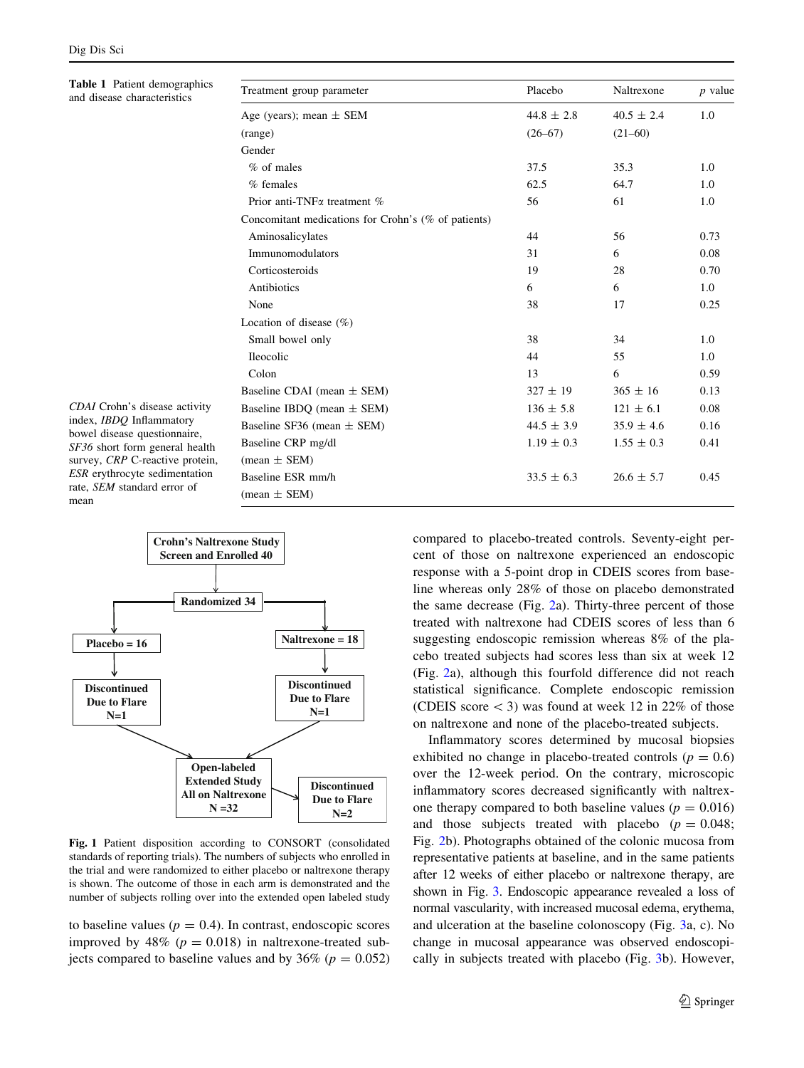<span id="page-4-0"></span>Table 1 Patient demographics and disease characteristics

| Treatment group parameter                           | Placebo        | Naltrexone     | $p$ value |
|-----------------------------------------------------|----------------|----------------|-----------|
| Age (years); mean $\pm$ SEM                         | $44.8 \pm 2.8$ | $40.5 \pm 2.4$ | 1.0       |
| (range)                                             | $(26 - 67)$    | $(21-60)$      |           |
| Gender                                              |                |                |           |
| $%$ of males                                        | 37.5           | 35.3           | 1.0       |
| $%$ females                                         | 62.5           | 64.7           | 1.0       |
| Prior anti-TNF $\alpha$ treatment $\%$              | 56             | 61             | 1.0       |
| Concomitant medications for Crohn's (% of patients) |                |                |           |
| Aminosalicylates                                    | 44             | 56             | 0.73      |
| Immunomodulators                                    | 31             | 6              | 0.08      |
| Corticosteroids                                     | 19             | 28             | 0.70      |
| <b>Antibiotics</b>                                  | 6              | 6              | 1.0       |
| None                                                | 38             | 17             | 0.25      |
| Location of disease $(\% )$                         |                |                |           |
| Small bowel only                                    | 38             | 34             | 1.0       |
| <b>Ileocolic</b>                                    | 44             | 55             | 1.0       |
| Colon                                               | 13             | 6              | 0.59      |
| Baseline CDAI (mean $\pm$ SEM)                      | $327 \pm 19$   | $365 \pm 16$   | 0.13      |
| Baseline IBDO (mean $\pm$ SEM)                      | $136 \pm 5.8$  | $121 \pm 6.1$  | 0.08      |
| Baseline SF36 (mean $\pm$ SEM)                      | $44.5 \pm 3.9$ | $35.9 \pm 4.6$ | 0.16      |
| Baseline CRP mg/dl                                  | $1.19 \pm 0.3$ | $1.55 \pm 0.3$ | 0.41      |
| $mean \pm SEM$                                      |                |                |           |
| Baseline ESR mm/h                                   | $33.5 \pm 6.3$ | $26.6 \pm 5.7$ | 0.45      |
| $mean \pm SEM$                                      |                |                |           |
|                                                     |                |                |           |

index, IBDQ Inflammatory bowel disease questionnaire, SF36 short form general health survey, CRP C-reactive protein, ESR erythrocyte sedimentation rate, SEM standard error of mean

CDAI Crohn's disease activity



Fig. 1 Patient disposition according to CONSORT (consolidated standards of reporting trials). The numbers of subjects who enrolled in the trial and were randomized to either placebo or naltrexone therapy is shown. The outcome of those in each arm is demonstrated and the number of subjects rolling over into the extended open labeled study

to baseline values ( $p = 0.4$ ). In contrast, endoscopic scores improved by 48% ( $p = 0.018$ ) in naltrexone-treated subjects compared to baseline values and by 36% ( $p = 0.052$ ) compared to placebo-treated controls. Seventy-eight percent of those on naltrexone experienced an endoscopic response with a 5-point drop in CDEIS scores from baseline whereas only 28% of those on placebo demonstrated the same decrease (Fig. [2a](#page-5-0)). Thirty-three percent of those treated with naltrexone had CDEIS scores of less than 6 suggesting endoscopic remission whereas 8% of the placebo treated subjects had scores less than six at week 12 (Fig. [2a](#page-5-0)), although this fourfold difference did not reach statistical significance. Complete endoscopic remission (CDEIS score  $\lt$  3) was found at week 12 in 22% of those on naltrexone and none of the placebo-treated subjects.

Inflammatory scores determined by mucosal biopsies exhibited no change in placebo-treated controls ( $p = 0.6$ ) over the 12-week period. On the contrary, microscopic inflammatory scores decreased significantly with naltrexone therapy compared to both baseline values ( $p = 0.016$ ) and those subjects treated with placebo  $(p = 0.048)$ ; Fig. [2](#page-5-0)b). Photographs obtained of the colonic mucosa from representative patients at baseline, and in the same patients after 12 weeks of either placebo or naltrexone therapy, are shown in Fig. [3.](#page-6-0) Endoscopic appearance revealed a loss of normal vascularity, with increased mucosal edema, erythema, and ulceration at the baseline colonoscopy (Fig. [3a](#page-6-0), c). No change in mucosal appearance was observed endoscopically in subjects treated with placebo (Fig. [3b](#page-6-0)). However,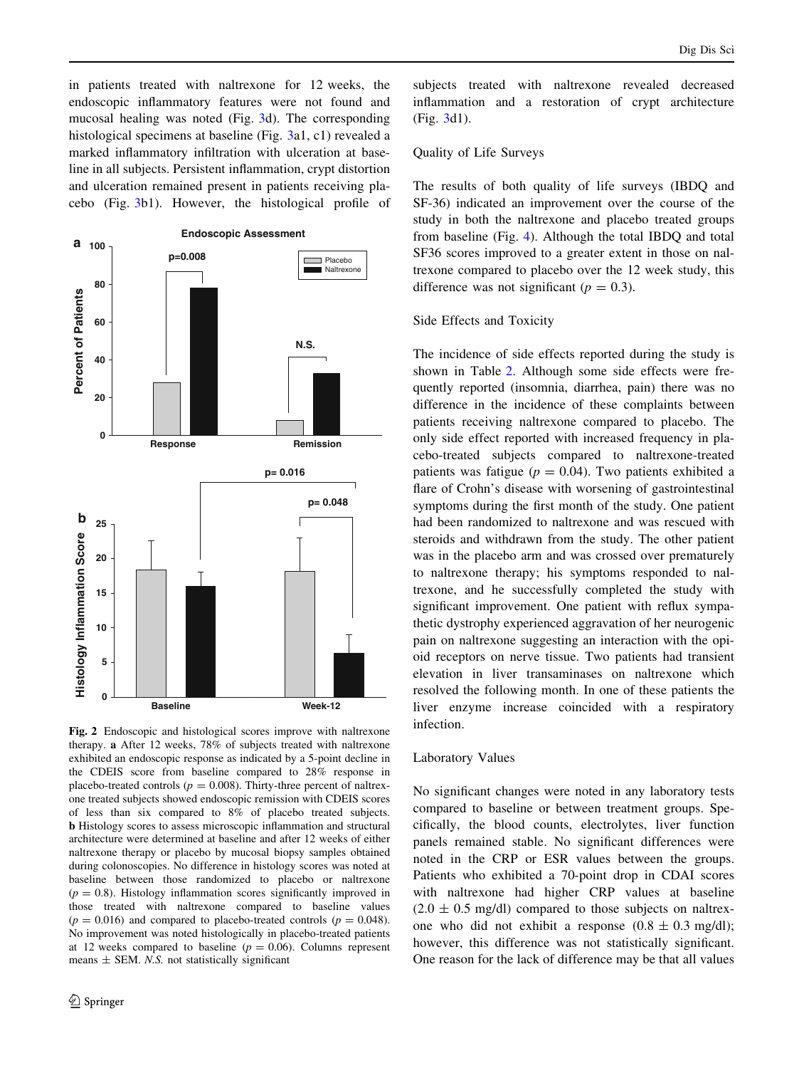<span id="page-5-0"></span>in patients treated with naltrexone for 12 weeks, the endoscopic inflammatory features were not found and mucosal healing was noted (Fig. [3d](#page-6-0)). The corresponding histological specimens at baseline (Fig. [3a](#page-6-0)1, c1) revealed a marked inflammatory infiltration with ulceration at baseline in all subjects. Persistent inflammation, crypt distortion and ulceration remained present in patients receiving placebo (Fig. [3b](#page-6-0)1). However, the histological profile of



Fig. 2 Endoscopic and histological scores improve with naltrexone therapy. a After 12 weeks, 78% of subjects treated with naltrexone exhibited an endoscopic response as indicated by a 5-point decline in the CDEIS score from baseline compared to 28% response in placebo-treated controls ( $p = 0.008$ ). Thirty-three percent of naltrexone treated subjects showed endoscopic remission with CDEIS scores of less than six compared to 8% of placebo treated subjects. b Histology scores to assess microscopic inflammation and structural architecture were determined at baseline and after 12 weeks of either naltrexone therapy or placebo by mucosal biopsy samples obtained during colonoscopies. No difference in histology scores was noted at baseline between those randomized to placebo or naltrexone  $(p = 0.8)$ . Histology inflammation scores significantly improved in those treated with naltrexone compared to baseline values  $(p = 0.016)$  and compared to placebo-treated controls  $(p = 0.048)$ . No improvement was noted histologically in placebo-treated patients at 12 weeks compared to baseline ( $p = 0.06$ ). Columns represent means  $\pm$  SEM. *N.S.* not statistically significant

subjects treated with naltrexone revealed decreased inflammation and a restoration of crypt architecture (Fig. [3d](#page-6-0)1).

# Quality of Life Surveys

The results of both quality of life surveys (IBDQ and SF-36) indicated an improvement over the course of the study in both the naltrexone and placebo treated groups from baseline (Fig. [4\)](#page-6-0). Although the total IBDQ and total SF36 scores improved to a greater extent in those on naltrexone compared to placebo over the 12 week study, this difference was not significant ( $p = 0.3$ ).

#### Side Effects and Toxicity

The incidence of side effects reported during the study is shown in Table [2.](#page-6-0) Although some side effects were frequently reported (insomnia, diarrhea, pain) there was no difference in the incidence of these complaints between patients receiving naltrexone compared to placebo. The only side effect reported with increased frequency in placebo-treated subjects compared to naltrexone-treated patients was fatigue ( $p = 0.04$ ). Two patients exhibited a flare of Crohn's disease with worsening of gastrointestinal symptoms during the first month of the study. One patient had been randomized to naltrexone and was rescued with steroids and withdrawn from the study. The other patient was in the placebo arm and was crossed over prematurely to naltrexone therapy; his symptoms responded to naltrexone, and he successfully completed the study with significant improvement. One patient with reflux sympathetic dystrophy experienced aggravation of her neurogenic pain on naltrexone suggesting an interaction with the opioid receptors on nerve tissue. Two patients had transient elevation in liver transaminases on naltrexone which resolved the following month. In one of these patients the liver enzyme increase coincided with a respiratory infection.

# Laboratory Values

No significant changes were noted in any laboratory tests compared to baseline or between treatment groups. Specifically, the blood counts, electrolytes, liver function panels remained stable. No significant differences were noted in the CRP or ESR values between the groups. Patients who exhibited a 70-point drop in CDAI scores with naltrexone had higher CRP values at baseline  $(2.0 \pm 0.5 \text{ mg/dl})$  compared to those subjects on naltrexone who did not exhibit a response  $(0.8 \pm 0.3 \text{ mg/dl})$ ; however, this difference was not statistically significant. One reason for the lack of difference may be that all values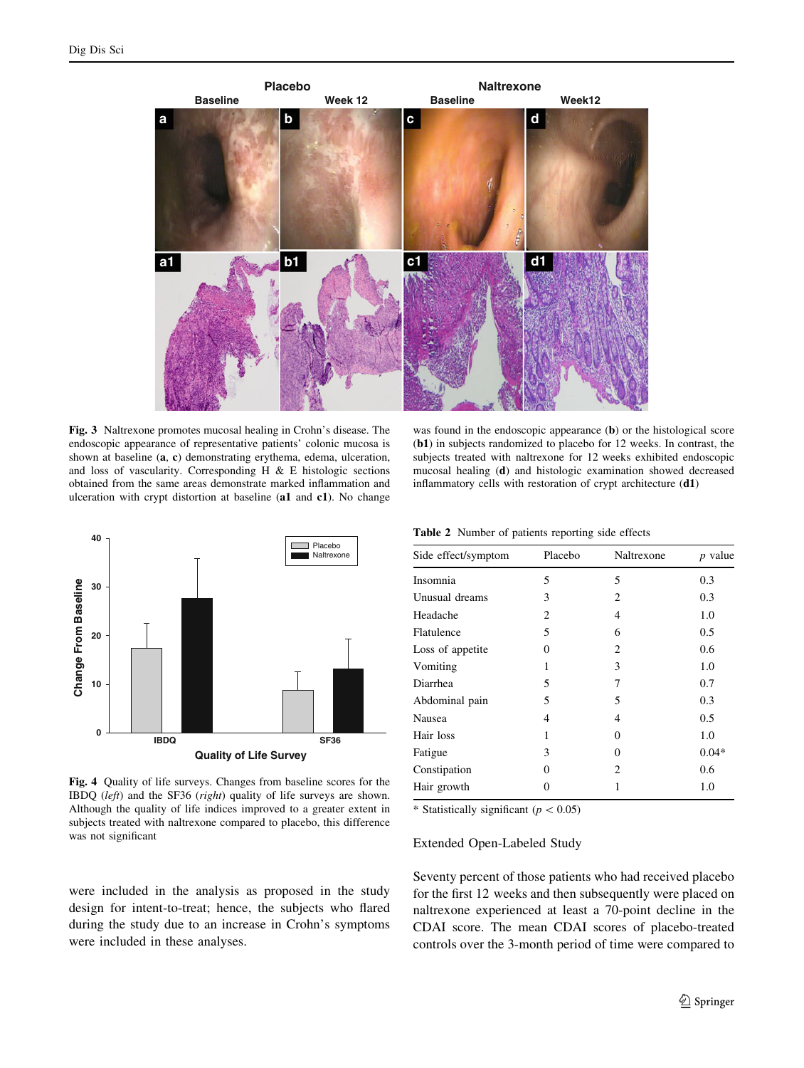<span id="page-6-0"></span>

Fig. 3 Naltrexone promotes mucosal healing in Crohn's disease. The endoscopic appearance of representative patients' colonic mucosa is shown at baseline (a, c) demonstrating erythema, edema, ulceration, and loss of vascularity. Corresponding H  $\&$  E histologic sections obtained from the same areas demonstrate marked inflammation and ulceration with crypt distortion at baseline (a1 and c1). No change



Fig. 4 Quality of life surveys. Changes from baseline scores for the IBDQ (left) and the SF36 (right) quality of life surveys are shown. Although the quality of life indices improved to a greater extent in subjects treated with naltrexone compared to placebo, this difference was not significant

were included in the analysis as proposed in the study design for intent-to-treat; hence, the subjects who flared during the study due to an increase in Crohn's symptoms were included in these analyses.

was found in the endoscopic appearance (b) or the histological score (b1) in subjects randomized to placebo for 12 weeks. In contrast, the subjects treated with naltrexone for 12 weeks exhibited endoscopic mucosal healing (d) and histologic examination showed decreased inflammatory cells with restoration of crypt architecture (d1)

|  |  |  |  | <b>Table 2</b> Number of patients reporting side effects |  |  |
|--|--|--|--|----------------------------------------------------------|--|--|
|--|--|--|--|----------------------------------------------------------|--|--|

| Side effect/symptom | Placebo | Naltrexone | <i>p</i> value |
|---------------------|---------|------------|----------------|
| Insomnia            | 5       | 5          | 0.3            |
| Unusual dreams      | 3       | 2          | 0.3            |
| Headache            | 2       | 4          | 1.0            |
| Flatulence          | 5       | 6          | 0.5            |
| Loss of appetite    | 0       | 2          | 0.6            |
| Vomiting            | 1       | 3          | 1.0            |
| Diarrhea            | 5       | 7          | 0.7            |
| Abdominal pain      | 5       | 5          | 0.3            |
| Nausea              | 4       | 4          | 0.5            |
| Hair loss           | 1       | 0          | 1.0            |
| Fatigue             | 3       | 0          | $0.04*$        |
| Constipation        | 0       | 2          | 0.6            |
| Hair growth         | 0       | 1          | 1.0            |

\* Statistically significant ( $p<0.05$ )

# Extended Open-Labeled Study

Seventy percent of those patients who had received placebo for the first 12 weeks and then subsequently were placed on naltrexone experienced at least a 70-point decline in the CDAI score. The mean CDAI scores of placebo-treated controls over the 3-month period of time were compared to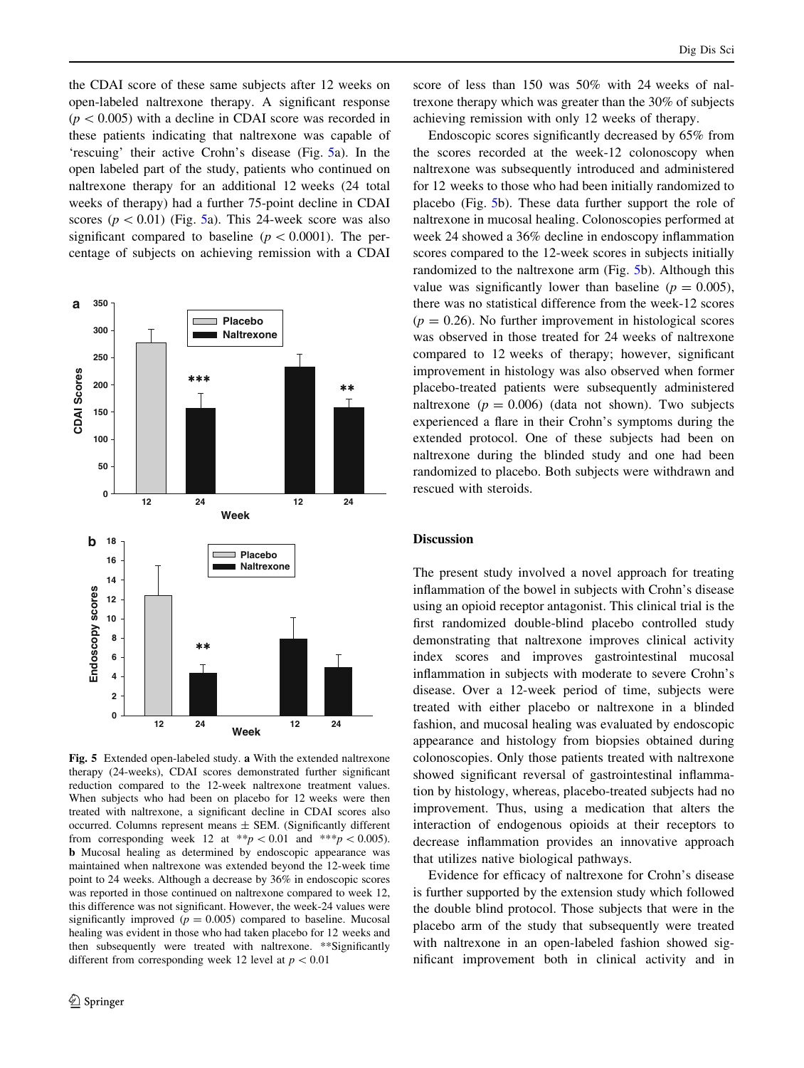the CDAI score of these same subjects after 12 weeks on open-labeled naltrexone therapy. A significant response  $(p<0.005)$  with a decline in CDAI score was recorded in these patients indicating that naltrexone was capable of 'rescuing' their active Crohn's disease (Fig. 5a). In the open labeled part of the study, patients who continued on naltrexone therapy for an additional 12 weeks (24 total weeks of therapy) had a further 75-point decline in CDAI scores ( $p \lt 0.01$ ) (Fig. 5a). This 24-week score was also significant compared to baseline ( $p < 0.0001$ ). The percentage of subjects on achieving remission with a CDAI



Fig. 5 Extended open-labeled study. a With the extended naltrexone therapy (24-weeks), CDAI scores demonstrated further significant reduction compared to the 12-week naltrexone treatment values. When subjects who had been on placebo for 12 weeks were then treated with naltrexone, a significant decline in CDAI scores also occurred. Columns represent means  $\pm$  SEM. (Significantly different from corresponding week 12 at \*\*p < 0.01 and \*\*\*p < 0.005). b Mucosal healing as determined by endoscopic appearance was maintained when naltrexone was extended beyond the 12-week time point to 24 weeks. Although a decrease by 36% in endoscopic scores was reported in those continued on naltrexone compared to week 12, this difference was not significant. However, the week-24 values were significantly improved ( $p = 0.005$ ) compared to baseline. Mucosal healing was evident in those who had taken placebo for 12 weeks and then subsequently were treated with naltrexone. \*\*Significantly different from corresponding week 12 level at  $p < 0.01$ 

score of less than 150 was 50% with 24 weeks of naltrexone therapy which was greater than the 30% of subjects achieving remission with only 12 weeks of therapy.

Endoscopic scores significantly decreased by 65% from the scores recorded at the week-12 colonoscopy when naltrexone was subsequently introduced and administered for 12 weeks to those who had been initially randomized to placebo (Fig. 5b). These data further support the role of naltrexone in mucosal healing. Colonoscopies performed at week 24 showed a 36% decline in endoscopy inflammation scores compared to the 12-week scores in subjects initially randomized to the naltrexone arm (Fig. 5b). Although this value was significantly lower than baseline ( $p = 0.005$ ), there was no statistical difference from the week-12 scores  $(p = 0.26)$ . No further improvement in histological scores was observed in those treated for 24 weeks of naltrexone compared to 12 weeks of therapy; however, significant improvement in histology was also observed when former placebo-treated patients were subsequently administered naltrexone ( $p = 0.006$ ) (data not shown). Two subjects experienced a flare in their Crohn's symptoms during the extended protocol. One of these subjects had been on naltrexone during the blinded study and one had been randomized to placebo. Both subjects were withdrawn and rescued with steroids.

## **Discussion**

The present study involved a novel approach for treating inflammation of the bowel in subjects with Crohn's disease using an opioid receptor antagonist. This clinical trial is the first randomized double-blind placebo controlled study demonstrating that naltrexone improves clinical activity index scores and improves gastrointestinal mucosal inflammation in subjects with moderate to severe Crohn's disease. Over a 12-week period of time, subjects were treated with either placebo or naltrexone in a blinded fashion, and mucosal healing was evaluated by endoscopic appearance and histology from biopsies obtained during colonoscopies. Only those patients treated with naltrexone showed significant reversal of gastrointestinal inflammation by histology, whereas, placebo-treated subjects had no improvement. Thus, using a medication that alters the interaction of endogenous opioids at their receptors to decrease inflammation provides an innovative approach that utilizes native biological pathways.

Evidence for efficacy of naltrexone for Crohn's disease is further supported by the extension study which followed the double blind protocol. Those subjects that were in the placebo arm of the study that subsequently were treated with naltrexone in an open-labeled fashion showed significant improvement both in clinical activity and in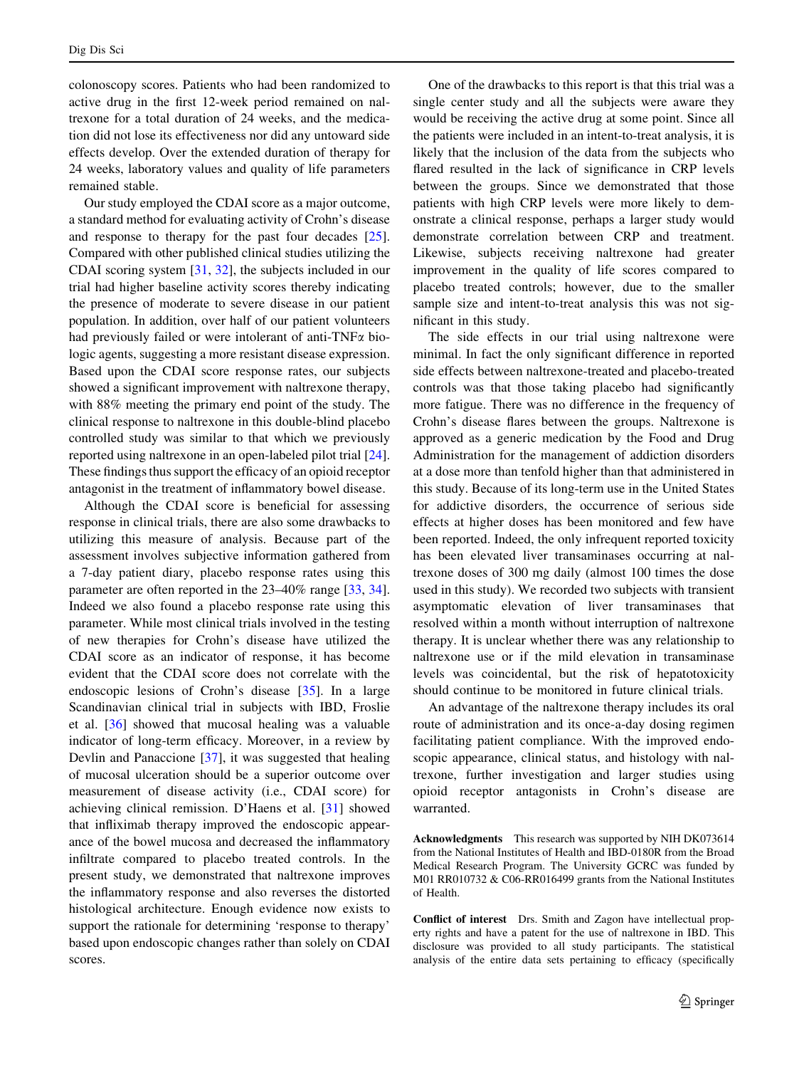colonoscopy scores. Patients who had been randomized to active drug in the first 12-week period remained on naltrexone for a total duration of 24 weeks, and the medication did not lose its effectiveness nor did any untoward side effects develop. Over the extended duration of therapy for 24 weeks, laboratory values and quality of life parameters remained stable.

Our study employed the CDAI score as a major outcome, a standard method for evaluating activity of Crohn's disease and response to therapy for the past four decades [\[25](#page-9-0)]. Compared with other published clinical studies utilizing the CDAI scoring system [\[31](#page-9-0), [32](#page-9-0)], the subjects included in our trial had higher baseline activity scores thereby indicating the presence of moderate to severe disease in our patient population. In addition, over half of our patient volunteers had previously failed or were intolerant of anti-TNF $\alpha$  biologic agents, suggesting a more resistant disease expression. Based upon the CDAI score response rates, our subjects showed a significant improvement with naltrexone therapy, with 88% meeting the primary end point of the study. The clinical response to naltrexone in this double-blind placebo controlled study was similar to that which we previously reported using naltrexone in an open-labeled pilot trial [\[24](#page-9-0)]. These findings thus support the efficacy of an opioid receptor antagonist in the treatment of inflammatory bowel disease.

Although the CDAI score is beneficial for assessing response in clinical trials, there are also some drawbacks to utilizing this measure of analysis. Because part of the assessment involves subjective information gathered from a 7-day patient diary, placebo response rates using this parameter are often reported in the 23–40% range [\[33](#page-9-0), [34](#page-9-0)]. Indeed we also found a placebo response rate using this parameter. While most clinical trials involved in the testing of new therapies for Crohn's disease have utilized the CDAI score as an indicator of response, it has become evident that the CDAI score does not correlate with the endoscopic lesions of Crohn's disease [[35\]](#page-9-0). In a large Scandinavian clinical trial in subjects with IBD, Froslie et al. [[36\]](#page-9-0) showed that mucosal healing was a valuable indicator of long-term efficacy. Moreover, in a review by Devlin and Panaccione [[37\]](#page-9-0), it was suggested that healing of mucosal ulceration should be a superior outcome over measurement of disease activity (i.e., CDAI score) for achieving clinical remission. D'Haens et al. [\[31](#page-9-0)] showed that infliximab therapy improved the endoscopic appearance of the bowel mucosa and decreased the inflammatory infiltrate compared to placebo treated controls. In the present study, we demonstrated that naltrexone improves the inflammatory response and also reverses the distorted histological architecture. Enough evidence now exists to support the rationale for determining 'response to therapy' based upon endoscopic changes rather than solely on CDAI scores.

One of the drawbacks to this report is that this trial was a single center study and all the subjects were aware they would be receiving the active drug at some point. Since all the patients were included in an intent-to-treat analysis, it is likely that the inclusion of the data from the subjects who flared resulted in the lack of significance in CRP levels between the groups. Since we demonstrated that those patients with high CRP levels were more likely to demonstrate a clinical response, perhaps a larger study would demonstrate correlation between CRP and treatment. Likewise, subjects receiving naltrexone had greater improvement in the quality of life scores compared to placebo treated controls; however, due to the smaller sample size and intent-to-treat analysis this was not significant in this study.

The side effects in our trial using naltrexone were minimal. In fact the only significant difference in reported side effects between naltrexone-treated and placebo-treated controls was that those taking placebo had significantly more fatigue. There was no difference in the frequency of Crohn's disease flares between the groups. Naltrexone is approved as a generic medication by the Food and Drug Administration for the management of addiction disorders at a dose more than tenfold higher than that administered in this study. Because of its long-term use in the United States for addictive disorders, the occurrence of serious side effects at higher doses has been monitored and few have been reported. Indeed, the only infrequent reported toxicity has been elevated liver transaminases occurring at naltrexone doses of 300 mg daily (almost 100 times the dose used in this study). We recorded two subjects with transient asymptomatic elevation of liver transaminases that resolved within a month without interruption of naltrexone therapy. It is unclear whether there was any relationship to naltrexone use or if the mild elevation in transaminase levels was coincidental, but the risk of hepatotoxicity should continue to be monitored in future clinical trials.

An advantage of the naltrexone therapy includes its oral route of administration and its once-a-day dosing regimen facilitating patient compliance. With the improved endoscopic appearance, clinical status, and histology with naltrexone, further investigation and larger studies using opioid receptor antagonists in Crohn's disease are warranted.

Acknowledgments This research was supported by NIH DK073614 from the National Institutes of Health and IBD-0180R from the Broad Medical Research Program. The University GCRC was funded by M01 RR010732 & C06-RR016499 grants from the National Institutes of Health.

Conflict of interest Drs. Smith and Zagon have intellectual property rights and have a patent for the use of naltrexone in IBD. This disclosure was provided to all study participants. The statistical analysis of the entire data sets pertaining to efficacy (specifically